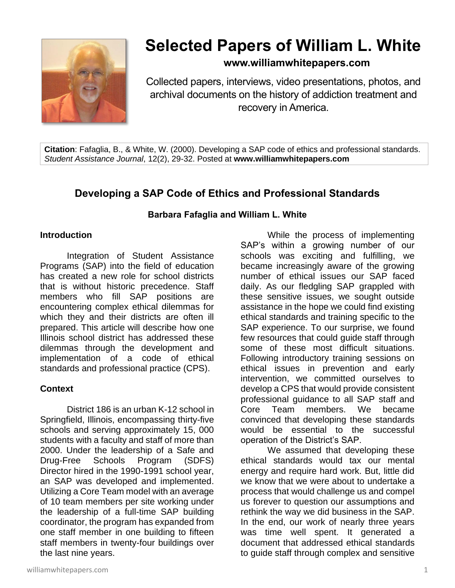

# **Selected Papers of William L. White**

# **www.williamwhitepapers.com**

Collected papers, interviews, video presentations, photos, and archival documents on the history of addiction treatment and recovery in America.

**Citation**: Fafaglia, B., & White, W. (2000). Developing a SAP code of ethics and professional standards. *Student Assistance Journal*, 12(2), 29-32. Posted at **www.williamwhitepapers.com**

# **Developing a SAP Code of Ethics and Professional Standards**

#### **Barbara Fafaglia and William L. White**

#### **Introduction**

Integration of Student Assistance Programs (SAP) into the field of education has created a new role for school districts that is without historic precedence. Staff members who fill SAP positions are encountering complex ethical dilemmas for which they and their districts are often ill prepared. This article will describe how one Illinois school district has addressed these dilemmas through the development and implementation of a code of ethical standards and professional practice (CPS).

#### **Context**

District 186 is an urban K-12 school in Springfield, Illinois, encompassing thirty-five schools and serving approximately 15, 000 students with a faculty and staff of more than 2000. Under the leadership of a Safe and Drug-Free Schools Program (SDFS) Director hired in the 1990-1991 school year, an SAP was developed and implemented. Utilizing a Core Team model with an average of 10 team members per site working under the leadership of a full-time SAP building coordinator, the program has expanded from one staff member in one building to fifteen staff members in twenty-four buildings over the last nine years.

While the process of implementing SAP's within a growing number of our schools was exciting and fulfilling, we became increasingly aware of the growing number of ethical issues our SAP faced daily. As our fledgling SAP grappled with these sensitive issues, we sought outside assistance in the hope we could find existing ethical standards and training specific to the SAP experience. To our surprise, we found few resources that could guide staff through some of these most difficult situations. Following introductory training sessions on ethical issues in prevention and early intervention, we committed ourselves to develop a CPS that would provide consistent professional guidance to all SAP staff and Core Team members. We became convinced that developing these standards would be essential to the successful operation of the District's SAP.

We assumed that developing these ethical standards would tax our mental energy and require hard work. But, little did we know that we were about to undertake a process that would challenge us and compel us forever to question our assumptions and rethink the way we did business in the SAP. In the end, our work of nearly three years was time well spent. It generated a document that addressed ethical standards to guide staff through complex and sensitive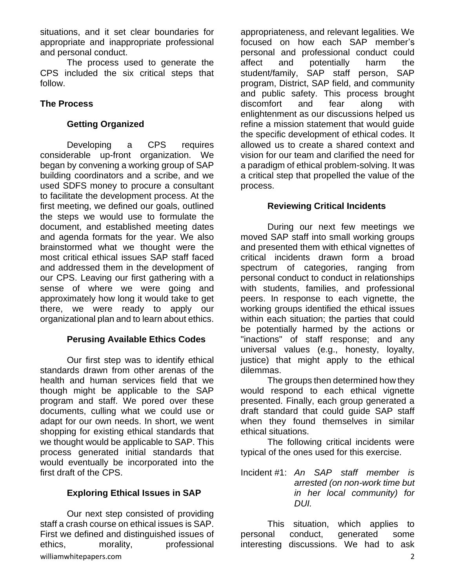situations, and it set clear boundaries for appropriate and inappropriate professional and personal conduct.

The process used to generate the CPS included the six critical steps that follow.

## **The Process**

#### **Getting Organized**

Developing a CPS requires considerable up-front organization. We began by convening a working group of SAP building coordinators and a scribe, and we used SDFS money to procure a consultant to facilitate the development process. At the first meeting, we defined our goals, outlined the steps we would use to formulate the document, and established meeting dates and agenda formats for the year. We also brainstormed what we thought were the most critical ethical issues SAP staff faced and addressed them in the development of our CPS. Leaving our first gathering with a sense of where we were going and approximately how long it would take to get there, we were ready to apply our organizational plan and to learn about ethics.

#### **Perusing Available Ethics Codes**

Our first step was to identify ethical standards drawn from other arenas of the health and human services field that we though might be applicable to the SAP program and staff. We pored over these documents, culling what we could use or adapt for our own needs. In short, we went shopping for existing ethical standards that we thought would be applicable to SAP. This process generated initial standards that would eventually be incorporated into the first draft of the CPS.

# **Exploring Ethical Issues in SAP**

williamwhitepapers.com 2 Our next step consisted of providing staff a crash course on ethical issues is SAP. First we defined and distinguished issues of ethics, morality, professional

appropriateness, and relevant legalities. We focused on how each SAP member's personal and professional conduct could affect and potentially harm the student/family, SAP staff person, SAP program, District, SAP field, and community and public safety. This process brought discomfort and fear along with enlightenment as our discussions helped us refine a mission statement that would guide the specific development of ethical codes. It allowed us to create a shared context and vision for our team and clarified the need for a paradigm of ethical problem-solving. It was a critical step that propelled the value of the process.

#### **Reviewing Critical Incidents**

During our next few meetings we moved SAP staff into small working groups and presented them with ethical vignettes of critical incidents drawn form a broad spectrum of categories, ranging from personal conduct to conduct in relationships with students, families, and professional peers. In response to each vignette, the working groups identified the ethical issues within each situation; the parties that could be potentially harmed by the actions or "inactions" of staff response; and any universal values (e.g., honesty, loyalty, justice) that might apply to the ethical dilemmas.

The groups then determined how they would respond to each ethical vignette presented. Finally, each group generated a draft standard that could guide SAP staff when they found themselves in similar ethical situations.

The following critical incidents were typical of the ones used for this exercise.

Incident #1: *An SAP staff member is arrested (on non-work time but in her local community) for DUI.*

This situation, which applies to personal conduct, generated some interesting discussions. We had to ask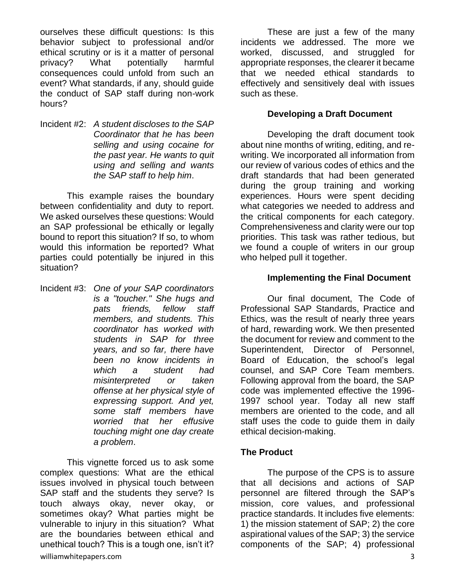ourselves these difficult questions: Is this behavior subject to professional and/or ethical scrutiny or is it a matter of personal privacy? What potentially harmful consequences could unfold from such an event? What standards, if any, should guide the conduct of SAP staff during non-work hours?

Incident #2: *A student discloses to the SAP Coordinator that he has been selling and using cocaine for the past year. He wants to quit using and selling and wants the SAP staff to help him*.

This example raises the boundary between confidentiality and duty to report. We asked ourselves these questions: Would an SAP professional be ethically or legally bound to report this situation? If so, to whom would this information be reported? What parties could potentially be injured in this situation?

Incident #3: *One of your SAP coordinators is a "toucher." She hugs and pats friends, fellow staff members, and students. This coordinator has worked with students in SAP for three years, and so far, there have been no know incidents in which a student had misinterpreted or taken offense at her physical style of expressing support. And yet, some staff members have worried that her effusive touching might one day create a problem*.

williamwhitepapers.com 3 This vignette forced us to ask some complex questions: What are the ethical issues involved in physical touch between SAP staff and the students they serve? Is touch always okay, never okay, or sometimes okay? What parties might be vulnerable to injury in this situation? What are the boundaries between ethical and unethical touch? This is a tough one, isn't it?

These are just a few of the many incidents we addressed. The more we worked, discussed, and struggled for appropriate responses, the clearer it became that we needed ethical standards to effectively and sensitively deal with issues such as these.

#### **Developing a Draft Document**

Developing the draft document took about nine months of writing, editing, and rewriting. We incorporated all information from our review of various codes of ethics and the draft standards that had been generated during the group training and working experiences. Hours were spent deciding what categories we needed to address and the critical components for each category. Comprehensiveness and clarity were our top priorities. This task was rather tedious, but we found a couple of writers in our group who helped pull it together.

#### **Implementing the Final Document**

Our final document, The Code of Professional SAP Standards, Practice and Ethics, was the result of nearly three years of hard, rewarding work. We then presented the document for review and comment to the Superintendent, Director of Personnel, Board of Education, the school's legal counsel, and SAP Core Team members. Following approval from the board, the SAP code was implemented effective the 1996- 1997 school year. Today all new staff members are oriented to the code, and all staff uses the code to guide them in daily ethical decision-making.

#### **The Product**

The purpose of the CPS is to assure that all decisions and actions of SAP personnel are filtered through the SAP's mission, core values, and professional practice standards. It includes five elements: 1) the mission statement of SAP; 2) the core aspirational values of the SAP; 3) the service components of the SAP; 4) professional